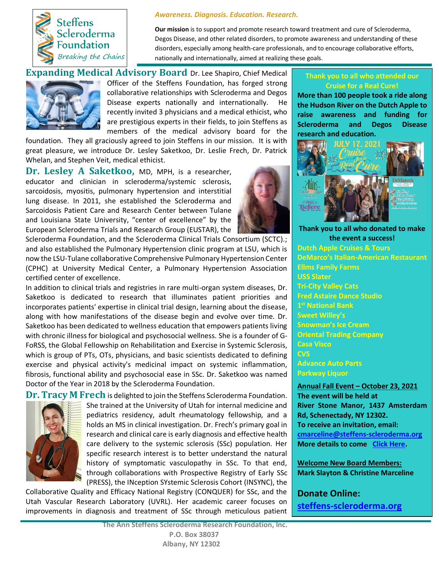

## *Awareness. Diagnosis. Education. Research.*

**Our mission** is to support and promote research toward treatment and cure of Scleroderma, Degos Disease, and other related disorders, to promote awareness and understanding of these disorders, especially among health-care professionals, and to encourage collaborative efforts, nationally and internationally, aimed at realizing these goals.

**Expanding Medical Advisory Board** Dr. Lee Shapiro, Chief Medical Officer of the Steffens Foundation, has forged strong collaborative relationships with Scleroderma and Degos Disease experts nationally and internationally. He recently invited 3 physicians and a medical ethicist, who are prestigious experts in their fields, to join Steffens as members of the medical advisory board for the

foundation. They all graciously agreed to join Steffens in our mission. It is with great pleasure, we introduce Dr. Lesley Saketkoo, Dr. Leslie Frech, Dr. Patrick Whelan, and Stephen Veit, medical ethicist.

**Dr. Lesley A Saketkoo,** MD, MPH, is a researcher, educator and clinician in scleroderma/systemic sclerosis, sarcoidosis, myositis, pulmonary hypertension and interstitial lung disease. In 2011, she established the Scleroderma and Sarcoidosis Patient Care and Research Center between Tulane and Louisiana State University, "center of excellence" by the European Scleroderma Trials and Research Group (EUSTAR), the

Scleroderma Foundation, and the Scleroderma Clinical Trials Consortium (SCTC).; and also established the Pulmonary Hypertension clinic program at LSU, which is now the LSU-Tulane collaborative Comprehensive Pulmonary Hypertension Center (CPHC) at University Medical Center, a Pulmonary Hypertension Association certified center of excellence.

In addition to clinical trials and registries in rare multi-organ system diseases, Dr. Saketkoo is dedicated to research that illuminates patient priorities and incorporates patients' expertise in clinical trial design, learning about the disease, along with how manifestations of the disease begin and evolve over time. Dr. Saketkoo has been dedicated to wellness education that empowers patients living with chronic illness for biological and psychosocial wellness. She is a founder of G-FoRSS, the Global Fellowship on Rehabilitation and Exercise in Systemic Sclerosis, which is group of PTs, OTs, physicians, and basic scientists dedicated to defining exercise and physical activity's medicinal impact on systemic inflammation, fibrosis, functional ability and psychosocial ease in SSc. Dr. Saketkoo was named Doctor of the Year in 2018 by the Scleroderma Foundation.



**Dr. Tracy M Frech** is delighted to join the Steffens Scleroderma Foundation. She trained at the University of Utah for internal medicine and pediatrics residency, adult rheumatology fellowship, and a holds an MS in clinical investigation. Dr. Frech's primary goal in research and clinical care is early diagnosis and effective health care delivery to the systemic sclerosis (SSc) population. Her specific research interest is to better understand the natural history of symptomatic vasculopathy in SSc. To that end, through collaborations with Prospective Registry of Early SSc (PRESS), the INception SYstemic Sclerosis Cohort (INSYNC), the

Collaborative Quality and Efficacy National Registry (CONQUER) for SSc, and the Utah Vascular Research Laboratory (UVRL). Her academic career focuses on improvements in diagnosis and treatment of SSc through meticulous patient

## **Thank you to all who attended our Cruise for a Real Cure!**

**More than 100 people took a ride along the Hudson River on the Dutch Apple to raise awareness and funding for Scleroderma and Degos Disease research and education.**



**Thank you to all who donated to make the event a success! Dutch Apple Cruises & Tours DeMarco's Italian-American Restaurant Ellms Family Farms USS Slater Tri-City Valley Cats Fred Astaire Dance Studio 1 st National Bank Sweet Willey's Snowman's Ice Cream Oriental Trading Company Casa Visco CVS Advance Auto Parts Parkway Liquor**

**Annual Fall Event – October 23, 2021 The event will be held at River Stone Manor, 1437 Amsterdam Rd, Schenectady, NY 12302. To receive an invitation, email: [cmarceline@steffens-scleroderma.org](mailto:cmarceline@steffens-scleroderma.org) More details to come [Click Here.](https://www.steffens-scleroderma.org/events/fall-dinner)**

**Welcome New Board Members: Mark Slayton & Christine Marceline**

**Donate Online: [steffens-scleroderma.org](about:blank)**